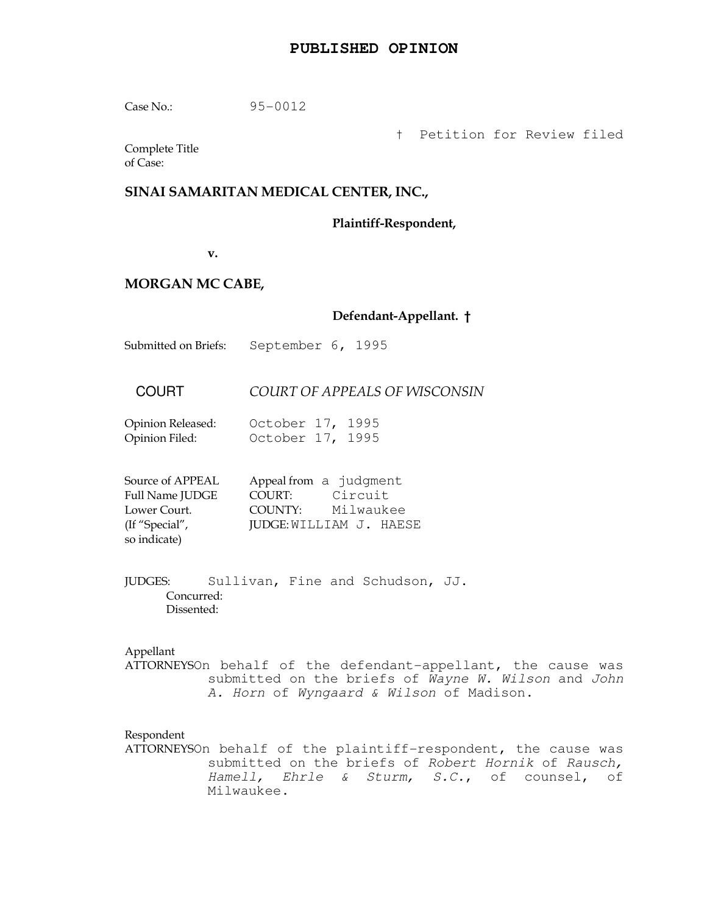# **PUBLISHED OPINION**

Case No.: 95-0012

† Petition for Review filed

Complete Title of Case:

# SINAI SAMARITAN MEDICAL CENTER, INC.,

Plaintiff-Respondent,

v.

# MORGAN MC CABE,

# Defendant-Appellant. †

Submitted on Briefs: September 6, 1995

# COURT COURT OF APPEALS OF WISCONSIN

| Opinion Released: | October 17, 1995 |  |
|-------------------|------------------|--|
| Opinion Filed:    | October 17, 1995 |  |

| Source of APPEAL       | Appeal from a judgment |                         |
|------------------------|------------------------|-------------------------|
| <b>Full Name JUDGE</b> | COURT:                 | Circuit                 |
| Lower Court.           | COUNTY:                | Milwaukee               |
| (If "Special",         |                        | JUDGE: WILLIAM J. HAESE |
| so indicate)           |                        |                         |

JUDGES: Sullivan, Fine and Schudson, JJ. Concurred: Dissented:

# Appellant

ATTORNEYSOn behalf of the defendant-appellant, the cause was submitted on the briefs of Wayne W. Wilson and John A. Horn of Wyngaard & Wilson of Madison.

### Respondent

ATTORNEYSOn behalf of the plaintiff-respondent, the cause was submitted on the briefs of Robert Hornik of Rausch, Hamell, Ehrle & Sturm, S.C., of counsel, of Milwaukee.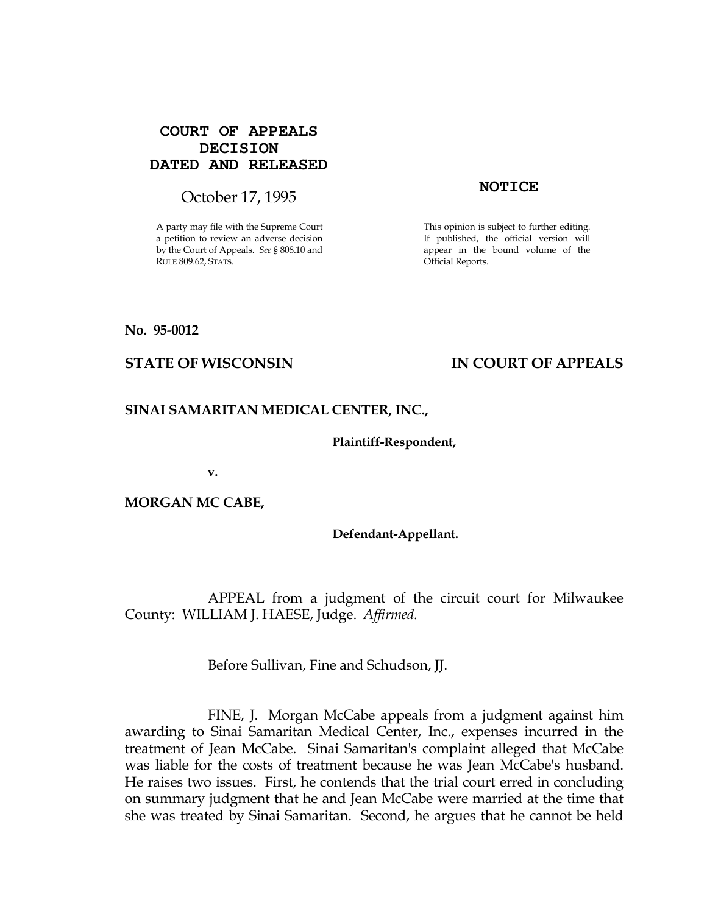# **COURT OF APPEALS DECISION DATED AND RELEASED**

# October 17, 1995 **NOTICE**

A party may file with the Supreme Court a petition to review an adverse decision by the Court of Appeals. See § 808.10 and RULE 809.62, STATS.

This opinion is subject to further editing. If published, the official version will appear in the bound volume of the Official Reports.

# No. 95-0012

# STATE OF WISCONSIN THE RESERVE TO THE STATE OF APPEALS

# SINAI SAMARITAN MEDICAL CENTER, INC.,

# Plaintiff-Respondent,

v.

# MORGAN MC CABE,

# Defendant-Appellant.

 APPEAL from a judgment of the circuit court for Milwaukee County: WILLIAM J. HAESE, Judge. Affirmed.

Before Sullivan, Fine and Schudson, JJ.

 FINE, J. Morgan McCabe appeals from a judgment against him awarding to Sinai Samaritan Medical Center, Inc., expenses incurred in the treatment of Jean McCabe. Sinai Samaritan's complaint alleged that McCabe was liable for the costs of treatment because he was Jean McCabe's husband. He raises two issues. First, he contends that the trial court erred in concluding on summary judgment that he and Jean McCabe were married at the time that she was treated by Sinai Samaritan. Second, he argues that he cannot be held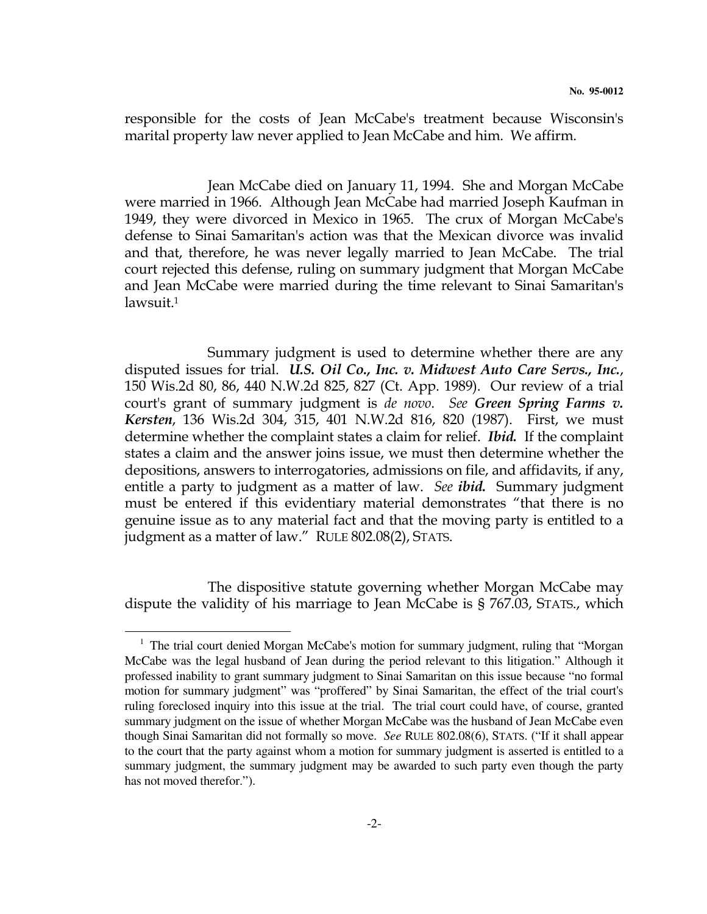responsible for the costs of Jean McCabe's treatment because Wisconsin's marital property law never applied to Jean McCabe and him. We affirm.

 Jean McCabe died on January 11, 1994. She and Morgan McCabe were married in 1966. Although Jean McCabe had married Joseph Kaufman in 1949, they were divorced in Mexico in 1965. The crux of Morgan McCabe's defense to Sinai Samaritan's action was that the Mexican divorce was invalid and that, therefore, he was never legally married to Jean McCabe. The trial court rejected this defense, ruling on summary judgment that Morgan McCabe and Jean McCabe were married during the time relevant to Sinai Samaritan's lawsuit.<sup>1</sup>

 Summary judgment is used to determine whether there are any disputed issues for trial. U.S. Oil Co., Inc. v. Midwest Auto Care Servs., Inc., 150 Wis.2d 80, 86, 440 N.W.2d 825, 827 (Ct. App. 1989). Our review of a trial court's grant of summary judgment is *de novo. See Green Spring Farms v.* Kersten, 136 Wis.2d 304, 315, 401 N.W.2d 816, 820 (1987). First, we must determine whether the complaint states a claim for relief. *Ibid.* If the complaint states a claim and the answer joins issue, we must then determine whether the depositions, answers to interrogatories, admissions on file, and affidavits, if any, entitle a party to judgment as a matter of law. See *ibid*. Summary judgment must be entered if this evidentiary material demonstrates "that there is no genuine issue as to any material fact and that the moving party is entitled to a judgment as a matter of law." RULE 802.08(2), STATS.

 The dispositive statute governing whether Morgan McCabe may dispute the validity of his marriage to Jean McCabe is § 767.03, STATS., which

 $\overline{a}$ 

<sup>&</sup>lt;sup>1</sup> The trial court denied Morgan McCabe's motion for summary judgment, ruling that "Morgan McCabe was the legal husband of Jean during the period relevant to this litigation." Although it professed inability to grant summary judgment to Sinai Samaritan on this issue because "no formal motion for summary judgment" was "proffered" by Sinai Samaritan, the effect of the trial court's ruling foreclosed inquiry into this issue at the trial. The trial court could have, of course, granted summary judgment on the issue of whether Morgan McCabe was the husband of Jean McCabe even though Sinai Samaritan did not formally so move. *See* RULE 802.08(6), STATS. ("If it shall appear to the court that the party against whom a motion for summary judgment is asserted is entitled to a summary judgment, the summary judgment may be awarded to such party even though the party has not moved therefor.").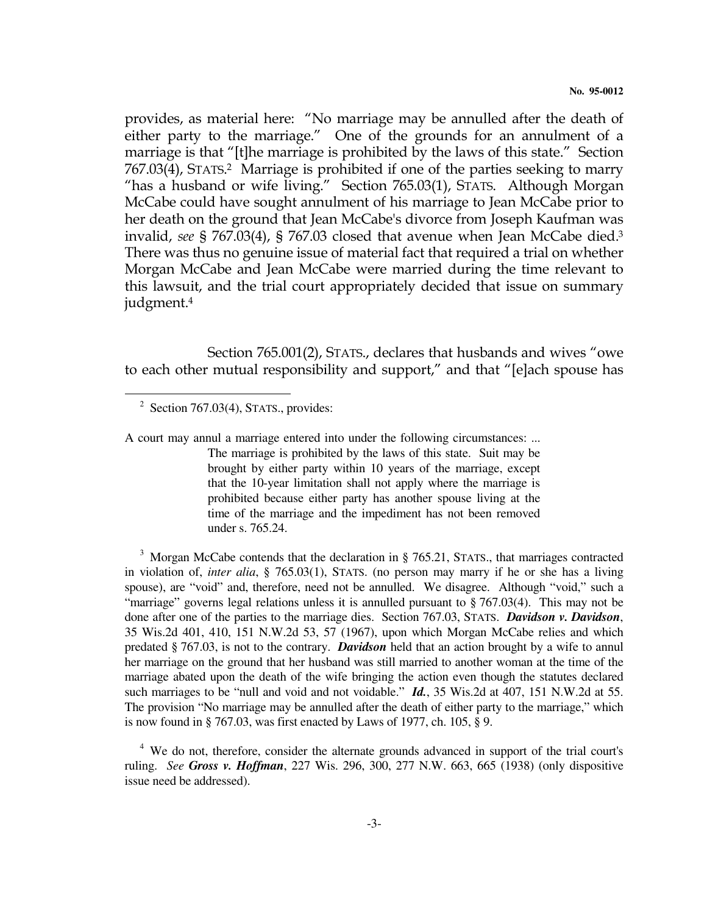provides, as material here: "No marriage may be annulled after the death of either party to the marriage." One of the grounds for an annulment of a marriage is that "[t]he marriage is prohibited by the laws of this state." Section 767.03(4), STATS. <sup>2</sup> Marriage is prohibited if one of the parties seeking to marry "has a husband or wife living." Section 765.03(1), STATS. Although Morgan McCabe could have sought annulment of his marriage to Jean McCabe prior to her death on the ground that Jean McCabe's divorce from Joseph Kaufman was invalid, see § 767.03(4), § 767.03 closed that avenue when Jean McCabe died.<sup>3</sup> There was thus no genuine issue of material fact that required a trial on whether Morgan McCabe and Jean McCabe were married during the time relevant to this lawsuit, and the trial court appropriately decided that issue on summary judgment.<sup>4</sup>

 Section 765.001(2), STATS., declares that husbands and wives "owe to each other mutual responsibility and support," and that "[e]ach spouse has

 $\overline{a}$ 

A court may annul a marriage entered into under the following circumstances: ... The marriage is prohibited by the laws of this state. Suit may be brought by either party within 10 years of the marriage, except that the 10-year limitation shall not apply where the marriage is prohibited because either party has another spouse living at the time of the marriage and the impediment has not been removed under s. 765.24.

 $3$  Morgan McCabe contends that the declaration in § 765.21, STATS., that marriages contracted in violation of, *inter alia*, § 765.03(1), STATS. (no person may marry if he or she has a living spouse), are "void" and, therefore, need not be annulled. We disagree. Although "void," such a "marriage" governs legal relations unless it is annulled pursuant to § 767.03(4). This may not be done after one of the parties to the marriage dies. Section 767.03, STATS. *Davidson v. Davidson*, 35 Wis.2d 401, 410, 151 N.W.2d 53, 57 (1967), upon which Morgan McCabe relies and which predated § 767.03, is not to the contrary. *Davidson* held that an action brought by a wife to annul her marriage on the ground that her husband was still married to another woman at the time of the marriage abated upon the death of the wife bringing the action even though the statutes declared such marriages to be "null and void and not voidable." *Id.*, 35 Wis.2d at 407, 151 N.W.2d at 55. The provision "No marriage may be annulled after the death of either party to the marriage," which is now found in § 767.03, was first enacted by Laws of 1977, ch. 105, § 9.

<sup>4</sup> We do not, therefore, consider the alternate grounds advanced in support of the trial court's ruling. *See Gross v. Hoffman*, 227 Wis. 296, 300, 277 N.W. 663, 665 (1938) (only dispositive issue need be addressed).

 $2^2$  Section 767.03(4), STATS., provides: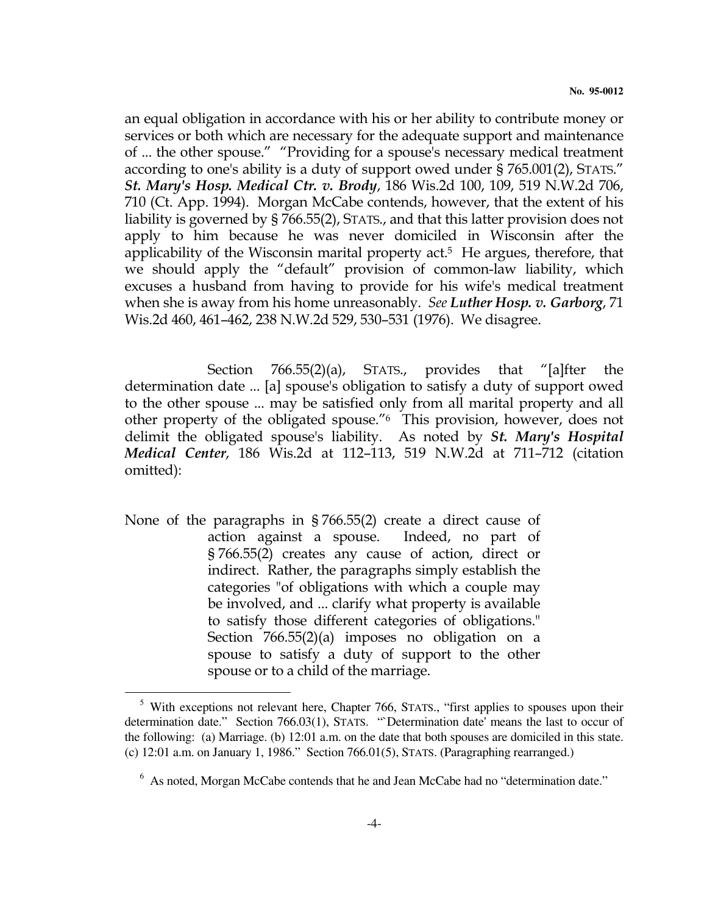an equal obligation in accordance with his or her ability to contribute money or services or both which are necessary for the adequate support and maintenance of ... the other spouse." "Providing for a spouse's necessary medical treatment according to one's ability is a duty of support owed under § 765.001(2), STATS." St. Mary's Hosp. Medical Ctr. v. Brody, 186 Wis.2d 100, 109, 519 N.W.2d 706, 710 (Ct. App. 1994). Morgan McCabe contends, however, that the extent of his liability is governed by § 766.55(2), STATS., and that this latter provision does not apply to him because he was never domiciled in Wisconsin after the applicability of the Wisconsin marital property act. <sup>5</sup> He argues, therefore, that we should apply the "default" provision of common-law liability, which excuses a husband from having to provide for his wife's medical treatment when she is away from his home unreasonably. See Luther Hosp. v. Garborg, 71 Wis.2d 460, 461–462, 238 N.W.2d 529, 530–531 (1976). We disagree.

 Section 766.55(2)(a), STATS., provides that "[a]fter the determination date ... [a] spouse's obligation to satisfy a duty of support owed to the other spouse ... may be satisfied only from all marital property and all other property of the obligated spouse."6 This provision, however, does not delimit the obligated spouse's liability. As noted by St. Mary's Hospital Medical Center, 186 Wis.2d at 112–113, 519 N.W.2d at 711–712 (citation omitted):

None of the paragraphs in § 766.55(2) create a direct cause of action against a spouse. Indeed, no part of § 766.55(2) creates any cause of action, direct or indirect. Rather, the paragraphs simply establish the categories "of obligations with which a couple may be involved, and ... clarify what property is available to satisfy those different categories of obligations." Section 766.55(2)(a) imposes no obligation on a spouse to satisfy a duty of support to the other spouse or to a child of the marriage.

 $\overline{a}$ 

<sup>&</sup>lt;sup>5</sup> With exceptions not relevant here, Chapter 766, STATS., "first applies to spouses upon their determination date." Section 766.03(1), STATS. "`Determination date' means the last to occur of the following: (a) Marriage. (b) 12:01 a.m. on the date that both spouses are domiciled in this state. (c) 12:01 a.m. on January 1, 1986." Section 766.01(5), STATS. (Paragraphing rearranged.)

 $6$  As noted, Morgan McCabe contends that he and Jean McCabe had no "determination date."